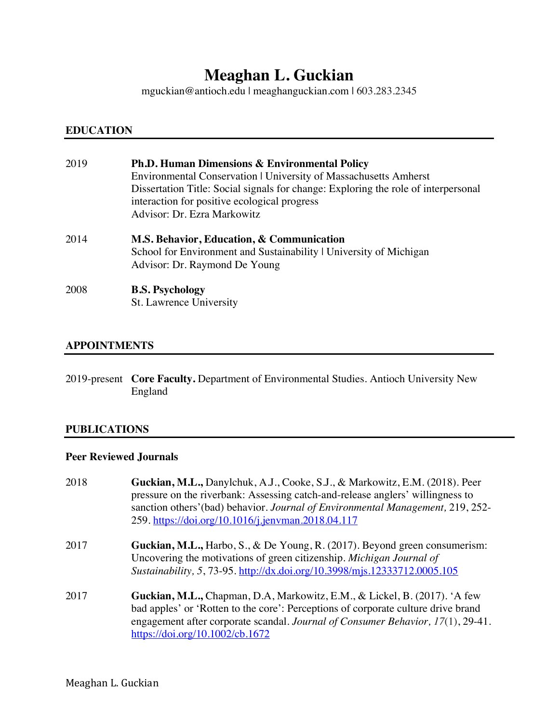# **Meaghan L. Guckian**

mguckian@antioch.edu | meaghanguckian.com | 603.283.2345

# **EDUCATION**

| 2019 | <b>Ph.D. Human Dimensions &amp; Environmental Policy</b><br>Environmental Conservation   University of Massachusetts Amherst<br>Dissertation Title: Social signals for change: Exploring the role of interpersonal<br>interaction for positive ecological progress<br>Advisor: Dr. Ezra Markowitz |
|------|---------------------------------------------------------------------------------------------------------------------------------------------------------------------------------------------------------------------------------------------------------------------------------------------------|
| 2014 | M.S. Behavior, Education, & Communication<br>School for Environment and Sustainability   University of Michigan<br>Advisor: Dr. Raymond De Young                                                                                                                                                  |
| 2008 | <b>B.S. Psychology</b><br>St. Lawrence University                                                                                                                                                                                                                                                 |

# **APPOINTMENTS**

2019-present **Core Faculty.** Department of Environmental Studies. Antioch University New England

#### **PUBLICATIONS**

# **Peer Reviewed Journals**

| 2018 | Guckian, M.L., Danylchuk, A.J., Cooke, S.J., & Markowitz, E.M. (2018). Peer<br>pressure on the riverbank: Assessing catch-and-release anglers' willingness to<br>sanction others' (bad) behavior. Journal of Environmental Management, 219, 252-<br>259. https://doi.org/10.1016/j.jenvman.2018.04.117 |
|------|--------------------------------------------------------------------------------------------------------------------------------------------------------------------------------------------------------------------------------------------------------------------------------------------------------|
| 2017 | <b>Guckian, M.L., Harbo, S., &amp; De Young, R. (2017). Beyond green consumerism:</b><br>Uncovering the motivations of green citizenship. Michigan Journal of<br>Sustainability, 5, 73-95. http://dx.doi.org/10.3998/mjs.12333712.0005.105                                                             |
| 2017 | Guckian, M.L., Chapman, D.A, Markowitz, E.M., & Lickel, B. (2017). 'A few<br>bad apples' or 'Rotten to the core': Perceptions of corporate culture drive brand<br>engagement after corporate scandal. Journal of Consumer Behavior, 17(1), 29-41.<br>https://doi.org/10.1002/cb.1672                   |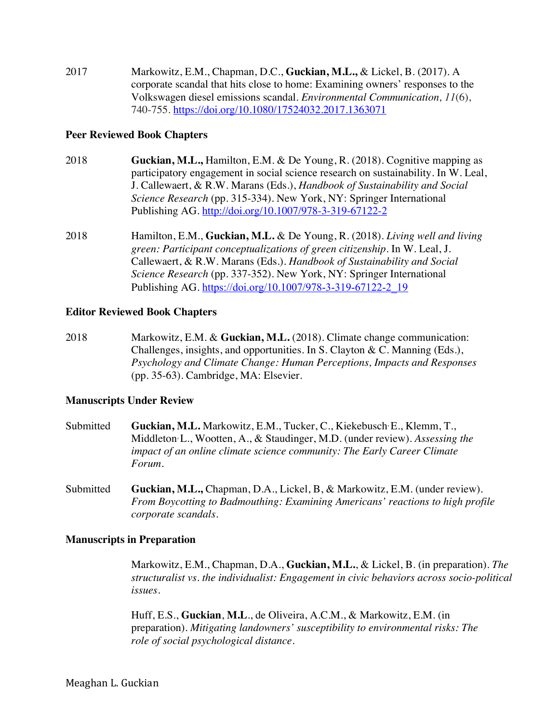2017 Markowitz, E.M., Chapman, D.C., **Guckian, M.L.,** & Lickel, B. (2017). A corporate scandal that hits close to home: Examining owners' responses to the Volkswagen diesel emissions scandal. *Environmental Communication, 11*(6), 740-755. https://doi.org/10.1080/17524032.2017.1363071

#### **Peer Reviewed Book Chapters**

- 2018 **Guckian, M.L.,** Hamilton, E.M. & De Young, R. (2018). Cognitive mapping as participatory engagement in social science research on sustainability. In W. Leal, J. Callewaert, & R.W. Marans (Eds.), *Handbook of Sustainability and Social Science Research* (pp. 315-334)*.* New York, NY: Springer International Publishing AG. http://doi.org/10.1007/978-3-319-67122-2
- 2018 Hamilton, E.M., **Guckian, M.L.** & De Young, R. (2018). *Living well and living green: Participant conceptualizations of green citizenship.* In W. Leal, J. Callewaert, & R.W. Marans (Eds.). *Handbook of Sustainability and Social Science Research* (pp. 337-352). New York, NY: Springer International Publishing AG. https://doi.org/10.1007/978-3-319-67122-2\_19

#### **Editor Reviewed Book Chapters**

2018 Markowitz, E.M. & **Guckian, M.L.** (2018). Climate change communication: Challenges, insights, and opportunities. In S. Clayton & C. Manning (Eds.), *Psychology and Climate Change: Human Perceptions, Impacts and Responses* (pp. 35-63). Cambridge, MA: Elsevier.

#### **Manuscripts Under Review**

- Submitted **Guckian, M.L.** Markowitz, E.M., Tucker, C., Kiekebusch, E., Klemm, T., Middleton, L., Wootten, A., & Staudinger, M.D. (under review). *Assessing the impact of an online climate science community: The Early Career Climate Forum*.
- Submitted **Guckian, M.L.,** Chapman, D.A., Lickel, B, & Markowitz, E.M. (under review). *From Boycotting to Badmouthing: Examining Americans' reactions to high profile corporate scandals*.

#### **Manuscripts in Preparation**

Markowitz, E.M., Chapman, D.A., **Guckian, M.L.**, & Lickel, B. (in preparation). *The structuralist vs. the individualist: Engagement in civic behaviors across socio-political issues.*

Huff, E.S., **Guckian**, **M.L**., de Oliveira, A.C.M., & Markowitz, E.M. (in preparation). *Mitigating landowners' susceptibility to environmental risks: The role of social psychological distance.*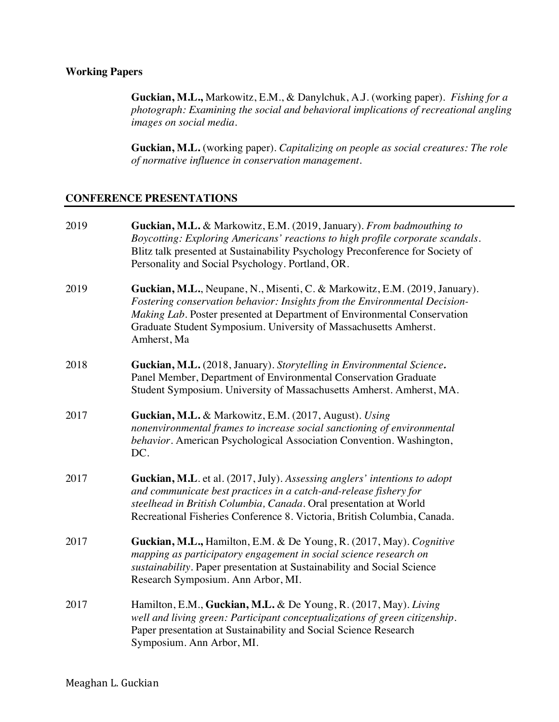# **Working Papers**

**Guckian, M.L.,** Markowitz, E.M., & Danylchuk, A.J. (working paper). *Fishing for a photograph: Examining the social and behavioral implications of recreational angling images on social media.*

**Guckian, M.L.** (working paper). *Capitalizing on people as social creatures: The role of normative influence in conservation management.* 

#### **CONFERENCE PRESENTATIONS**

| 2019 | Guckian, M.L. & Markowitz, E.M. (2019, January). From badmouthing to<br>Boycotting: Exploring Americans' reactions to high profile corporate scandals.<br>Blitz talk presented at Sustainability Psychology Preconference for Society of<br>Personality and Social Psychology. Portland, OR.                            |
|------|-------------------------------------------------------------------------------------------------------------------------------------------------------------------------------------------------------------------------------------------------------------------------------------------------------------------------|
| 2019 | Guckian, M.L., Neupane, N., Misenti, C. & Markowitz, E.M. (2019, January).<br>Fostering conservation behavior: Insights from the Environmental Decision-<br>Making Lab. Poster presented at Department of Environmental Conservation<br>Graduate Student Symposium. University of Massachusetts Amherst.<br>Amherst, Ma |
| 2018 | Guckian, M.L. (2018, January). Storytelling in Environmental Science.<br>Panel Member, Department of Environmental Conservation Graduate<br>Student Symposium. University of Massachusetts Amherst. Amherst, MA.                                                                                                        |
| 2017 | Guckian, M.L. & Markowitz, E.M. (2017, August). Using<br>nonenvironmental frames to increase social sanctioning of environmental<br>behavior. American Psychological Association Convention. Washington,<br>DC.                                                                                                         |
| 2017 | Guckian, M.L. et al. (2017, July). Assessing anglers' intentions to adopt<br>and communicate best practices in a catch-and-release fishery for<br>steelhead in British Columbia, Canada. Oral presentation at World<br>Recreational Fisheries Conference 8. Victoria, British Columbia, Canada.                         |
| 2017 | Guckian, M.L., Hamilton, E.M. & De Young, R. (2017, May). Cognitive<br>mapping as participatory engagement in social science research on<br>sustainability. Paper presentation at Sustainability and Social Science<br>Research Symposium. Ann Arbor, MI.                                                               |
| 2017 | Hamilton, E.M., Guckian, M.L. & De Young, R. (2017, May). Living<br>well and living green: Participant conceptualizations of green citizenship.<br>Paper presentation at Sustainability and Social Science Research<br>Symposium. Ann Arbor, MI.                                                                        |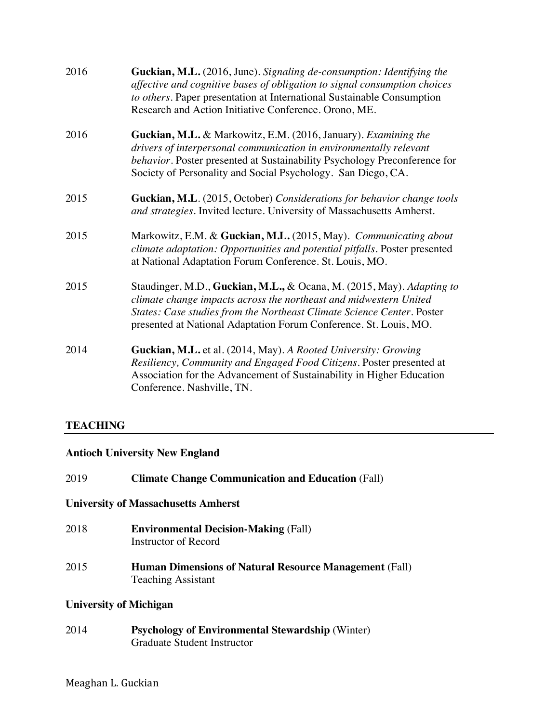| 2016 | Guckian, M.L. (2016, June). Signaling de-consumption: Identifying the<br>affective and cognitive bases of obligation to signal consumption choices<br>to others. Paper presentation at International Sustainable Consumption<br>Research and Action Initiative Conference. Orono, ME.     |
|------|-------------------------------------------------------------------------------------------------------------------------------------------------------------------------------------------------------------------------------------------------------------------------------------------|
| 2016 | Guckian, M.L. & Markowitz, E.M. (2016, January). Examining the<br>drivers of interpersonal communication in environmentally relevant<br>behavior. Poster presented at Sustainability Psychology Preconference for<br>Society of Personality and Social Psychology. San Diego, CA.         |
| 2015 | Guckian, M.L. (2015, October) Considerations for behavior change tools<br>and strategies. Invited lecture. University of Massachusetts Amherst.                                                                                                                                           |
| 2015 | Markowitz, E.M. & Guckian, M.L. (2015, May). Communicating about<br>climate adaptation: Opportunities and potential pitfalls. Poster presented<br>at National Adaptation Forum Conference. St. Louis, MO.                                                                                 |
| 2015 | Staudinger, M.D., Guckian, M.L., & Ocana, M. (2015, May). Adapting to<br>climate change impacts across the northeast and midwestern United<br>States: Case studies from the Northeast Climate Science Center. Poster<br>presented at National Adaptation Forum Conference. St. Louis, MO. |
| 2014 | Guckian, M.L. et al. (2014, May). A Rooted University: Growing<br>Resiliency, Community and Engaged Food Citizens. Poster presented at<br>Association for the Advancement of Sustainability in Higher Education<br>Conference. Nashville, TN.                                             |

# **TEACHING**

# **Antioch University New England**

| 2019 | <b>Climate Change Communication and Education (Fall)</b>                                      |
|------|-----------------------------------------------------------------------------------------------|
|      | <b>University of Massachusetts Amherst</b>                                                    |
| 2018 | <b>Environmental Decision-Making (Fall)</b><br><b>Instructor of Record</b>                    |
| 2015 | <b>Human Dimensions of Natural Resource Management (Fall)</b><br><b>Teaching Assistant</b>    |
|      | <b>University of Michigan</b>                                                                 |
| 2014 | <b>Psychology of Environmental Stewardship (Winter)</b><br><b>Graduate Student Instructor</b> |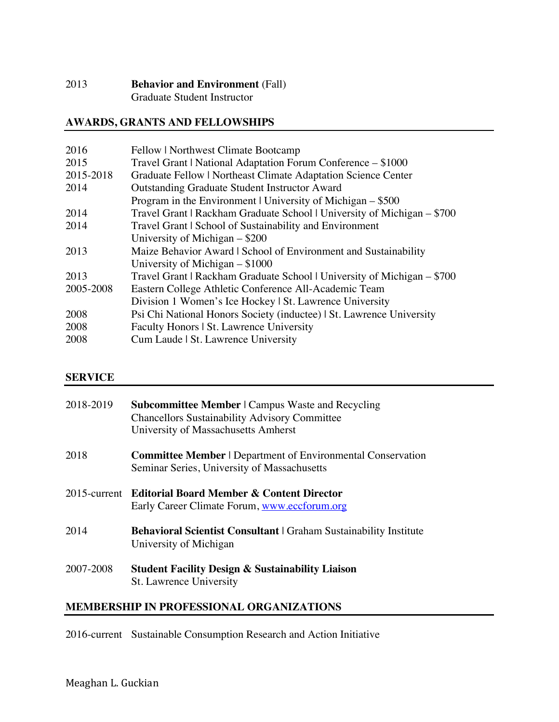# 2013 **Behavior and Environment** (Fall) Graduate Student Instructor

# **AWARDS, GRANTS AND FELLOWSHIPS**

| 2016      | Fellow   Northwest Climate Bootcamp                                     |
|-----------|-------------------------------------------------------------------------|
| 2015      | Travel Grant   National Adaptation Forum Conference – \$1000            |
| 2015-2018 | Graduate Fellow   Northeast Climate Adaptation Science Center           |
| 2014      | <b>Outstanding Graduate Student Instructor Award</b>                    |
|           | Program in the Environment   University of Michigan $-$ \$500           |
| 2014      | Travel Grant   Rackham Graduate School   University of Michigan – \$700 |
| 2014      | Travel Grant   School of Sustainability and Environment                 |
|           | University of Michigan $-$ \$200                                        |
| 2013      | Maize Behavior Award   School of Environment and Sustainability         |
|           | University of Michigan $-$ \$1000                                       |
| 2013      | Travel Grant   Rackham Graduate School   University of Michigan – \$700 |
| 2005-2008 | Eastern College Athletic Conference All-Academic Team                   |
|           | Division 1 Women's Ice Hockey   St. Lawrence University                 |
| 2008      | Psi Chi National Honors Society (inductee)   St. Lawrence University    |
| 2008      | Faculty Honors   St. Lawrence University                                |
| 2008      | Cum Laude   St. Lawrence University                                     |
|           |                                                                         |

# **SERVICE**

| 2018-2019 | <b>Subcommittee Member</b>   Campus Waste and Recycling<br><b>Chancellors Sustainability Advisory Committee</b><br>University of Massachusetts Amherst |
|-----------|--------------------------------------------------------------------------------------------------------------------------------------------------------|
| 2018      | <b>Committee Member   Department of Environmental Conservation</b><br>Seminar Series, University of Massachusetts                                      |
|           | 2015-current Editorial Board Member & Content Director<br>Early Career Climate Forum, www.eccforum.org                                                 |
| 2014      | <b>Behavioral Scientist Consultant</b>   Graham Sustainability Institute<br>University of Michigan                                                     |
| 2007-2008 | <b>Student Facility Design &amp; Sustainability Liaison</b><br>St. Lawrence University                                                                 |

# **MEMBERSHIP IN PROFESSIONAL ORGANIZATIONS**

2016-current Sustainable Consumption Research and Action Initiative